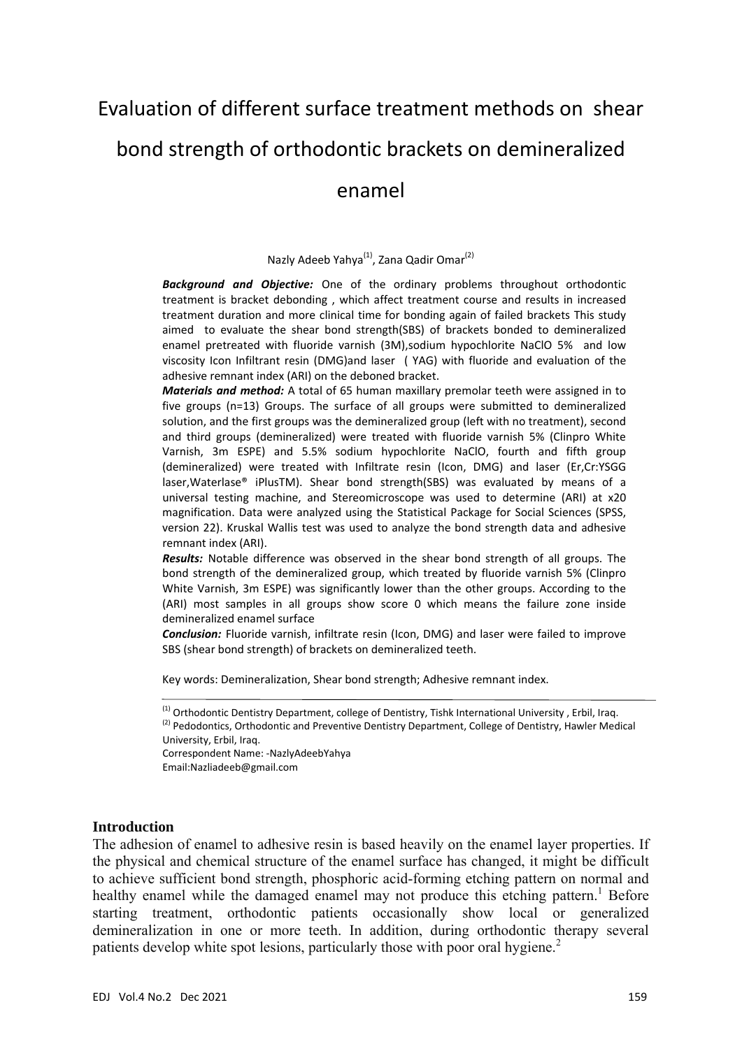# Evaluation of different surface treatment methods on shear bond strength of orthodontic brackets on demineralized enamel

#### Nazly Adeeb Yahya<sup>(1)</sup>, Zana Qadir Omar<sup>(2)</sup>

*Background and Objective:* One of the ordinary problems throughout orthodontic treatment is bracket debonding , which affect treatment course and results in increased treatment duration and more clinical time for bonding again of failed brackets This study aimed to evaluate the shear bond strength(SBS) of brackets bonded to demineralized enamel pretreated with fluoride varnish (3M),sodium hypochlorite NaClO 5% and low viscosity Icon Infiltrant resin (DMG)and laser ( YAG) with fluoride and evaluation of the adhesive remnant index (ARI) on the deboned bracket.

*Materials and method:* A total of 65 human maxillary premolar teeth were assigned in to five groups (n=13) Groups. The surface of all groups were submitted to demineralized solution, and the first groups was the demineralized group (left with no treatment), second and third groups (demineralized) were treated with fluoride varnish 5% (Clinpro White Varnish, 3m ESPE) and 5.5% sodium hypochlorite NaClO, fourth and fifth group (demineralized) were treated with Infiltrate resin (Icon, DMG) and laser (Er,Cr:YSGG laser,Waterlase® iPlusTM). Shear bond strength(SBS) was evaluated by means of a universal testing machine, and Stereomicroscope was used to determine (ARI) at x20 magnification. Data were analyzed using the Statistical Package for Social Sciences (SPSS, version 22). Kruskal Wallis test was used to analyze the bond strength data and adhesive remnant index (ARI).

*Results:* Notable difference was observed in the shear bond strength of all groups. The bond strength of the demineralized group, which treated by fluoride varnish 5% (Clinpro White Varnish, 3m ESPE) was significantly lower than the other groups. According to the (ARI) most samples in all groups show score 0 which means the failure zone inside demineralized enamel surface

*Conclusion:* Fluoride varnish, infiltrate resin (Icon, DMG) and laser were failed to improve SBS (shear bond strength) of brackets on demineralized teeth.

Key words: Demineralization, Shear bond strength; Adhesive remnant index.

Correspondent Name: ‐NazlyAdeebYahya Email:Nazliadeeb@gmail.com

#### **Introduction**

The adhesion of enamel to adhesive resin is based heavily on the enamel layer properties. If the physical and chemical structure of the enamel surface has changed, it might be difficult to achieve sufficient bond strength, phosphoric acid-forming etching pattern on normal and healthy enamel while the damaged enamel may not produce this etching pattern.<sup>1</sup> Before starting treatment, orthodontic patients occasionally show local or generalized demineralization in one or more teeth. In addition, during orthodontic therapy several patients develop white spot lesions, particularly those with poor oral hygiene.<sup>2</sup>

<sup>&</sup>lt;sup>(1)</sup> Orthodontic Dentistry Department, college of Dentistry, Tishk International University, Erbil, Iraq. <sup>(2)</sup> Pedodontics, Orthodontic and Preventive Dentistry Department, College of Dentistry, Hawler Medical University, Erbil, Iraq.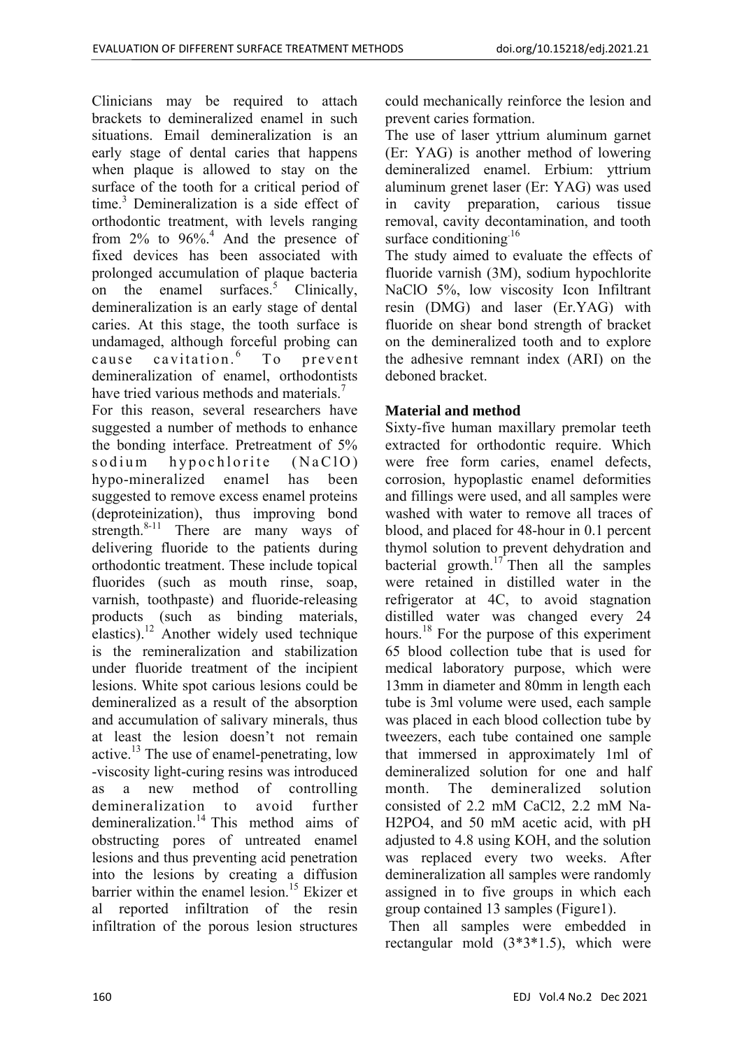Clinicians may be required to attach brackets to demineralized enamel in such situations. Email demineralization is an early stage of dental caries that happens when plaque is allowed to stay on the surface of the tooth for a critical period of time.3 Demineralization is a side effect of orthodontic treatment, with levels ranging from 2% to 96%.<sup>4</sup> And the presence of fixed devices has been associated with prolonged accumulation of plaque bacteria on the enamel surfaces.<sup>5</sup> Clinically, demineralization is an early stage of dental caries. At this stage, the tooth surface is undamaged, although forceful probing can cause cavitation.<sup>6</sup> To prevent demineralization of enamel, orthodontists have tried various methods and materials.<sup>7</sup>

For this reason, several researchers have suggested a number of methods to enhance the bonding interface. Pretreatment of 5% sodium hypochlorite (NaClO) hypo-mineralized enamel has been suggested to remove excess enamel proteins (deproteinization), thus improving bond strength. $8-11$  There are many ways of delivering fluoride to the patients during orthodontic treatment. These include topical fluorides (such as mouth rinse, soap, varnish, toothpaste) and fluoride-releasing products (such as binding materials, elastics).<sup>12</sup> Another widely used technique is the remineralization and stabilization under fluoride treatment of the incipient lesions. White spot carious lesions could be demineralized as a result of the absorption and accumulation of salivary minerals, thus at least the lesion doesn't not remain active.<sup>13</sup> The use of enamel-penetrating, low -viscosity light-curing resins was introduced as a new method of controlling demineralization to avoid further demineralization.<sup>14</sup> This method aims of obstructing pores of untreated enamel lesions and thus preventing acid penetration into the lesions by creating a diffusion barrier within the enamel lesion.<sup>15</sup> Ekizer et al reported infiltration of the resin infiltration of the porous lesion structures

could mechanically reinforce the lesion and prevent caries formation.

The use of laser yttrium aluminum garnet (Er: YAG) is another method of lowering demineralized enamel. Erbium: yttrium aluminum grenet laser (Er: YAG) was used in cavity preparation, carious tissue removal, cavity decontamination, and tooth surface conditioning.<sup>16</sup>

The study aimed to evaluate the effects of fluoride varnish (3M), sodium hypochlorite NaClO 5%, low viscosity Icon Infiltrant resin (DMG) and laser (Er.YAG) with fluoride on shear bond strength of bracket on the demineralized tooth and to explore the adhesive remnant index (ARI) on the deboned bracket.

# **Material and method**

Sixty-five human maxillary premolar teeth extracted for orthodontic require. Which were free form caries, enamel defects, corrosion, hypoplastic enamel deformities and fillings were used, and all samples were washed with water to remove all traces of blood, and placed for 48-hour in 0.1 percent thymol solution to prevent dehydration and bacterial growth. $17$  Then all the samples were retained in distilled water in the refrigerator at 4C, to avoid stagnation distilled water was changed every 24 hours.<sup>18</sup> For the purpose of this experiment 65 blood collection tube that is used for medical laboratory purpose, which were 13mm in diameter and 80mm in length each tube is 3ml volume were used, each sample was placed in each blood collection tube by tweezers, each tube contained one sample that immersed in approximately 1ml of demineralized solution for one and half month. The demineralized solution consisted of 2.2 mM CaCl2, 2.2 mM Na-H2PO4, and 50 mM acetic acid, with pH adjusted to 4.8 using KOH, and the solution was replaced every two weeks. After demineralization all samples were randomly assigned in to five groups in which each group contained 13 samples (Figure1).

 Then all samples were embedded in rectangular mold (3\*3\*1.5), which were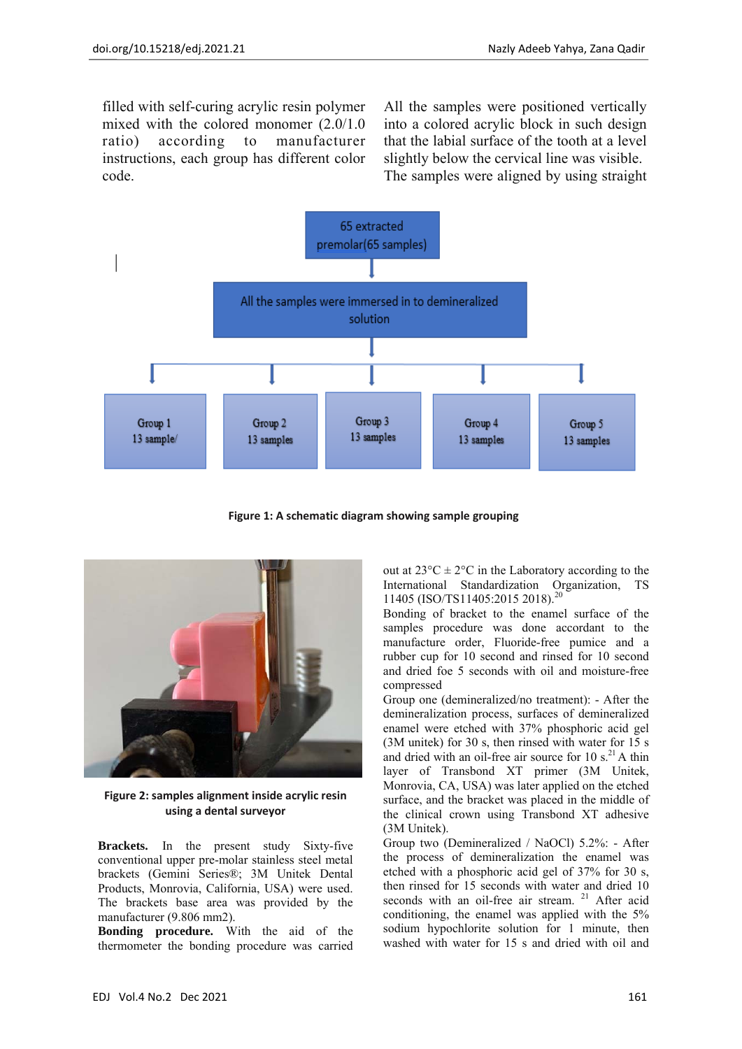filled with self-curing acrylic resin polymer mixed with the colored monomer (2.0/1.0 ratio) according to manufacturer instructions, each group has different color code.

All the samples were positioned vertically into a colored acrylic block in such design that the labial surface of the tooth at a level slightly below the cervical line was visible. The samples were aligned by using straight



**Figure 1: A schematic diagram showing sample grouping**



**Figure 2: samples alignment inside acrylic resin using a dental surveyor**

**Brackets.** In the present study Sixty-five conventional upper pre-molar stainless steel metal brackets (Gemini Series®; 3M Unitek Dental Products, Monrovia, California, USA) were used. The brackets base area was provided by the manufacturer (9.806 mm2).

**Bonding procedure.** With the aid of the thermometer the bonding procedure was carried out at  $23^{\circ}$ C  $\pm 2^{\circ}$ C in the Laboratory according to the International Standardization Organization, TS 11405 (ISO/TS11405:2015 2018).<sup>20</sup>

Bonding of bracket to the enamel surface of the samples procedure was done accordant to the manufacture order, Fluoride-free pumice and a rubber cup for 10 second and rinsed for 10 second and dried foe 5 seconds with oil and moisture-free compressed

Group one (demineralized/no treatment): - After the demineralization process, surfaces of demineralized enamel were etched with 37% phosphoric acid gel (3M unitek) for 30 s, then rinsed with water for 15 s and dried with an oil-free air source for 10  $s$ <sup>21</sup> A thin layer of Transbond XT primer (3M Unitek, Monrovia, CA, USA) was later applied on the etched surface, and the bracket was placed in the middle of the clinical crown using Transbond XT adhesive (3M Unitek).

Group two (Demineralized / NaOCl) 5.2%: - After the process of demineralization the enamel was etched with a phosphoric acid gel of 37% for 30 s, then rinsed for 15 seconds with water and dried 10 seconds with an oil-free air stream.<sup>21</sup> After acid conditioning, the enamel was applied with the 5% sodium hypochlorite solution for 1 minute, then washed with water for 15 s and dried with oil and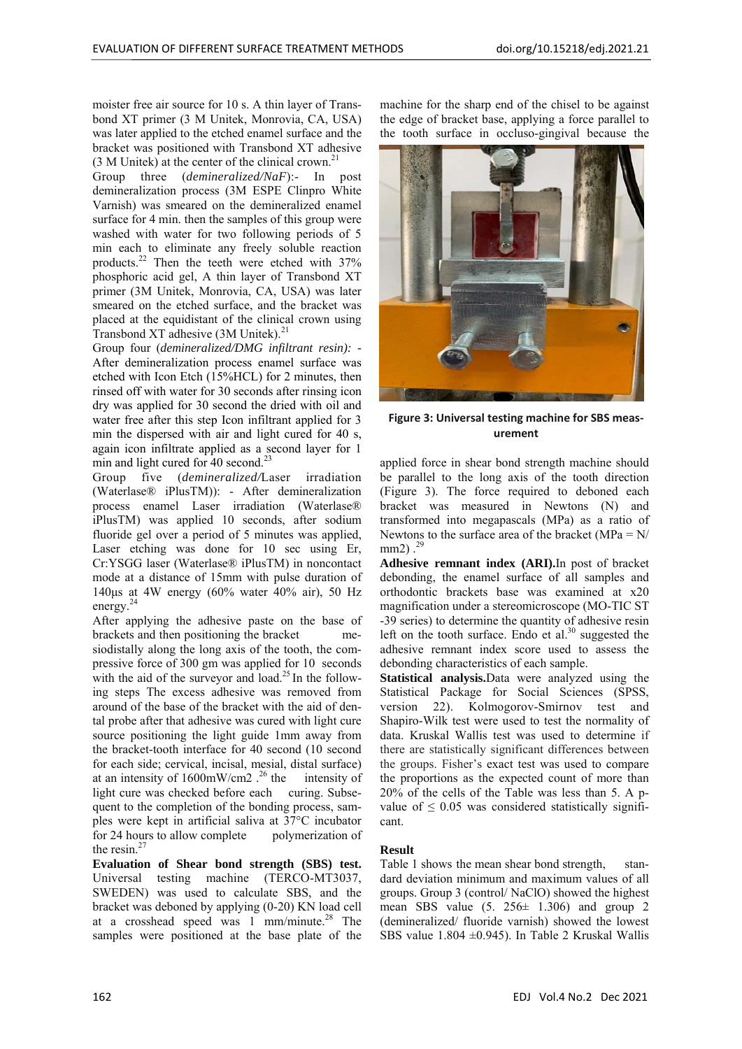moister free air source for 10 s. A thin layer of Transbond XT primer (3 M Unitek, Monrovia, CA, USA) was later applied to the etched enamel surface and the bracket was positioned with Transbond XT adhesive  $(3 M$  Unitek) at the center of the clinical crown.<sup>2</sup>

Group three (*demineralized/NaF*):- In post demineralization process (3M ESPE Clinpro White Varnish) was smeared on the demineralized enamel surface for 4 min. then the samples of this group were washed with water for two following periods of 5 min each to eliminate any freely soluble reaction products.22 Then the teeth were etched with 37% phosphoric acid gel, A thin layer of Transbond XT primer (3M Unitek, Monrovia, CA, USA) was later smeared on the etched surface, and the bracket was placed at the equidistant of the clinical crown using Transbond XT adhesive (3M Unitek).<sup>21</sup>

Group four (*demineralized/DMG infiltrant resin): -*  After demineralization process enamel surface was etched with Icon Etch (15%HCL) for 2 minutes, then rinsed off with water for 30 seconds after rinsing icon dry was applied for 30 second the dried with oil and water free after this step Icon infiltrant applied for 3 min the dispersed with air and light cured for 40 s, again icon infiltrate applied as a second layer for 1 min and light cured for 40 second.<sup>2</sup>

Group five (*demineralized/*Laser irradiation (Waterlase® iPlusTM)): - After demineralization process enamel Laser irradiation (Waterlase® iPlusTM) was applied 10 seconds, after sodium fluoride gel over a period of 5 minutes was applied, Laser etching was done for 10 sec using Er, Cr:YSGG laser (Waterlase® iPlusTM) in noncontact mode at a distance of 15mm with pulse duration of 140μs at 4W energy (60% water 40% air), 50 Hz energy.<sup>24</sup>

After applying the adhesive paste on the base of brackets and then positioning the bracket mesiodistally along the long axis of the tooth, the compressive force of 300 gm was applied for 10 seconds with the aid of the surveyor and load.<sup>25</sup> In the following steps The excess adhesive was removed from around of the base of the bracket with the aid of dental probe after that adhesive was cured with light cure source positioning the light guide 1mm away from the bracket-tooth interface for 40 second (10 second for each side; cervical, incisal, mesial, distal surface) at an intensity of  $1600 \text{mW/cm2}$ .<sup>26</sup> the intensity of light cure was checked before each curing. Subsequent to the completion of the bonding process, samples were kept in artificial saliva at 37°C incubator for 24 hours to allow complete polymerization of the resin. $27$ 

**Evaluation of Shear bond strength (SBS) test.**  Universal testing machine (TERCO-MT3037, SWEDEN) was used to calculate SBS, and the bracket was deboned by applying (0-20) KN load cell at a crosshead speed was 1 mm/minute.28 The samples were positioned at the base plate of the machine for the sharp end of the chisel to be against the edge of bracket base, applying a force parallel to the tooth surface in occluso-gingival because the



**Figure 3: Universal testing machine for SBS meas‐ urement** 

applied force in shear bond strength machine should be parallel to the long axis of the tooth direction (Figure 3). The force required to deboned each bracket was measured in Newtons (N) and transformed into megapascals (MPa) as a ratio of Newtons to the surface area of the bracket ( $MPa = N/$  $mm2)$ .<sup>29</sup>

**Adhesive remnant index (ARI).**In post of bracket debonding, the enamel surface of all samples and orthodontic brackets base was examined at x20 magnification under a stereomicroscope (MO-TIC ST -39 series) to determine the quantity of adhesive resin left on the tooth surface. Endo et al. $30$  suggested the adhesive remnant index score used to assess the debonding characteristics of each sample.

**Statistical analysis.**Data were analyzed using the Statistical Package for Social Sciences (SPSS, version 22). Kolmogorov-Smirnov test and Shapiro-Wilk test were used to test the normality of data. Kruskal Wallis test was used to determine if there are statistically significant differences between the groups. Fisher's exact test was used to compare the proportions as the expected count of more than 20% of the cells of the Table was less than 5. A pvalue of  $\leq 0.05$  was considered statistically significant.

#### **Result**

Table 1 shows the mean shear bond strength, standard deviation minimum and maximum values of all groups. Group 3 (control/ NaClO) showed the highest mean SBS value  $(5, 256 \pm 1.306)$  and group 2 (demineralized/ fluoride varnish) showed the lowest SBS value  $1.804 \pm 0.945$ ). In Table 2 Kruskal Wallis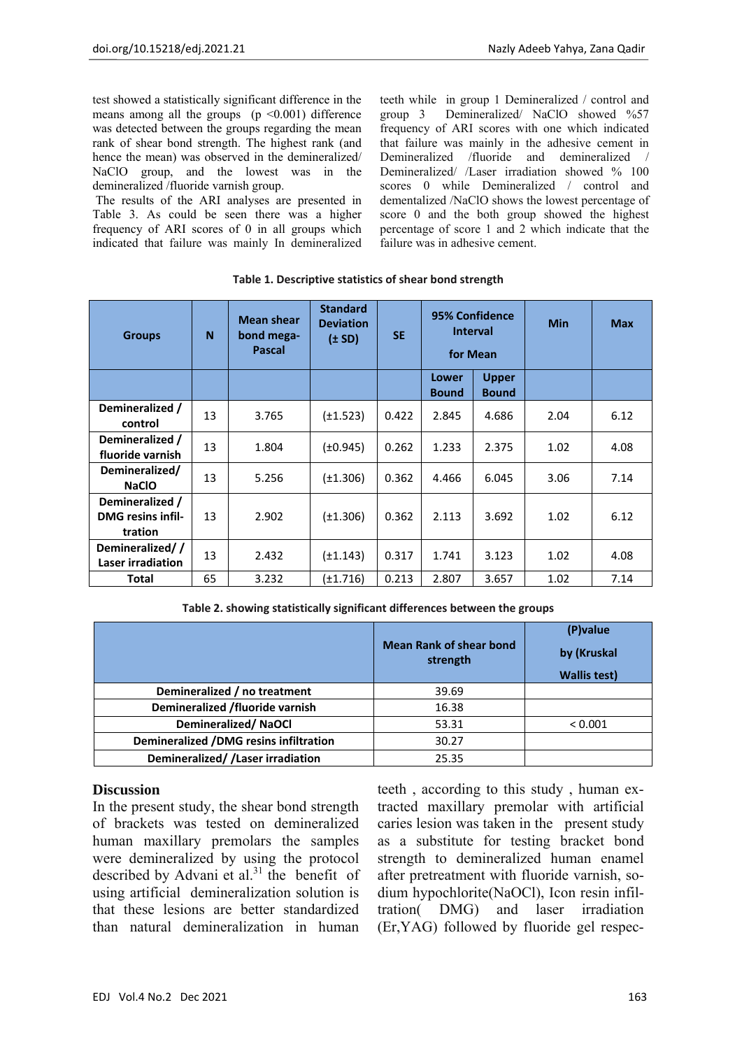test showed a statistically significant difference in the means among all the groups  $(p \le 0.001)$  difference was detected between the groups regarding the mean rank of shear bond strength. The highest rank (and hence the mean) was observed in the demineralized/ NaClO group, and the lowest was in the demineralized /fluoride varnish group.

The results of the ARI analyses are presented in Table 3. As could be seen there was a higher frequency of ARI scores of 0 in all groups which indicated that failure was mainly In demineralized teeth while in group 1 Demineralized / control and group 3 Demineralized/ NaClO showed %57 frequency of ARI scores with one which indicated that failure was mainly in the adhesive cement in Demineralized /fluoride and demineralized / Demineralized/ /Laser irradiation showed % 100 scores 0 while Demineralized / control and dementalized /NaClO shows the lowest percentage of score 0 and the both group showed the highest percentage of score 1 and 2 which indicate that the failure was in adhesive cement.

| <b>Groups</b>                                          | N  | <b>Mean shear</b><br>bond mega-<br><b>Pascal</b> | <b>Standard</b><br><b>Deviation</b><br>$(\pm SD)$ | <b>SE</b> | 95% Confidence<br><b>Interval</b><br>for Mean |                              | <b>Min</b> | <b>Max</b> |
|--------------------------------------------------------|----|--------------------------------------------------|---------------------------------------------------|-----------|-----------------------------------------------|------------------------------|------------|------------|
|                                                        |    |                                                  |                                                   |           | Lower<br><b>Bound</b>                         | <b>Upper</b><br><b>Bound</b> |            |            |
| Demineralized /<br>control                             | 13 | 3.765                                            | $(\pm 1.523)$                                     | 0.422     | 2.845                                         | 4.686                        | 2.04       | 6.12       |
| Demineralized /<br>fluoride varnish                    | 13 | 1.804                                            | $(\pm 0.945)$                                     | 0.262     | 1.233                                         | 2.375                        | 1.02       | 4.08       |
| Demineralized/<br><b>NaCIO</b>                         | 13 | 5.256                                            | $(\pm 1.306)$                                     | 0.362     | 4.466                                         | 6.045                        | 3.06       | 7.14       |
| Demineralized /<br><b>DMG</b> resins infil-<br>tration | 13 | 2.902                                            | $(\pm 1.306)$                                     | 0.362     | 2.113                                         | 3.692                        | 1.02       | 6.12       |
| Demineralized//<br>Laser irradiation                   | 13 | 2.432                                            | $(\pm 1.143)$                                     | 0.317     | 1.741                                         | 3.123                        | 1.02       | 4.08       |
| Total                                                  | 65 | 3.232                                            | (±1.716)                                          | 0.213     | 2.807                                         | 3.657                        | 1.02       | 7.14       |

**Table 1. Descriptive statistics of shear bond strength**

|                                               | <b>Mean Rank of shear bond</b><br>strength | (P) value<br>by (Kruskal<br><b>Wallis test)</b> |
|-----------------------------------------------|--------------------------------------------|-------------------------------------------------|
| Demineralized / no treatment                  | 39.69                                      |                                                 |
| Demineralized /fluoride varnish               | 16.38                                      |                                                 |
| Demineralized/NaOCl                           | 53.31                                      | < 0.001                                         |
| <b>Demineralized /DMG resins infiltration</b> | 30.27                                      |                                                 |
| Demineralized//Laser irradiation              | 25.35                                      |                                                 |

## **Discussion**

In the present study, the shear bond strength of brackets was tested on demineralized human maxillary premolars the samples were demineralized by using the protocol described by Advani et al. $31$  the benefit of using artificial demineralization solution is that these lesions are better standardized than natural demineralization in human

teeth , according to this study , human extracted maxillary premolar with artificial caries lesion was taken in the present study as a substitute for testing bracket bond strength to demineralized human enamel after pretreatment with fluoride varnish, sodium hypochlorite(NaOCl), Icon resin infiltration( DMG) and laser irradiation (Er,YAG) followed by fluoride gel respec-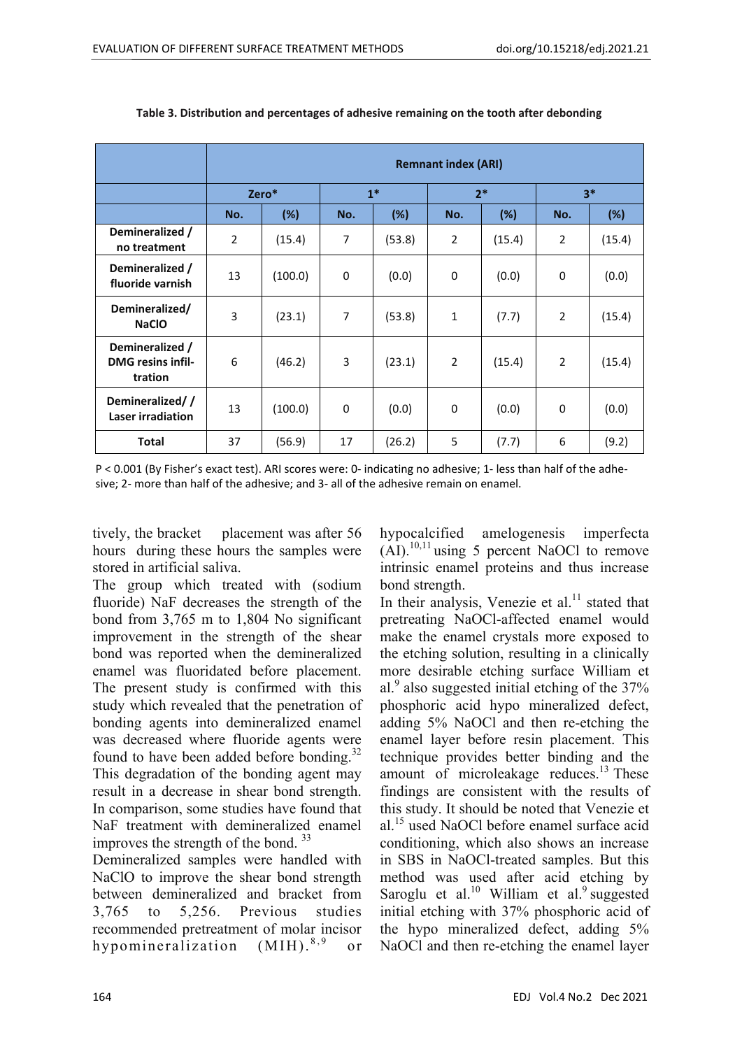|                                                        | <b>Remnant index (ARI)</b> |         |             |        |                |        |                |        |  |
|--------------------------------------------------------|----------------------------|---------|-------------|--------|----------------|--------|----------------|--------|--|
|                                                        | Zero*                      |         | $1*$        |        | $2*$           |        | $3*$           |        |  |
|                                                        | No.                        | (%)     | No.         | (%)    | No.            | (%)    | No.            | $(\%)$ |  |
| Demineralized /<br>no treatment                        | $\overline{2}$             | (15.4)  | 7           | (53.8) | $\overline{2}$ | (15.4) | $\overline{2}$ | (15.4) |  |
| Demineralized /<br>fluoride varnish                    | 13                         | (100.0) | $\mathbf 0$ | (0.0)  | $\mathbf 0$    | (0.0)  | $\mathbf 0$    | (0.0)  |  |
| Demineralized/<br><b>NaCIO</b>                         | 3                          | (23.1)  | 7           | (53.8) | $\mathbf{1}$   | (7.7)  | $\overline{2}$ | (15.4) |  |
| Demineralized /<br><b>DMG</b> resins infil-<br>tration | 6                          | (46.2)  | 3           | (23.1) | $\overline{2}$ | (15.4) | $\overline{2}$ | (15.4) |  |
| Demineralized//<br>Laser irradiation                   | 13                         | (100.0) | $\mathbf 0$ | (0.0)  | $\Omega$       | (0.0)  | $\mathbf 0$    | (0.0)  |  |
| <b>Total</b>                                           | 37                         | (56.9)  | 17          | (26.2) | 5              | (7.7)  | 6              | (9.2)  |  |

#### **Table 3. Distribution and percentages of adhesive remaining on the tooth after debonding**

P < 0.001 (By Fisher's exact test). ARI scores were: 0‐ indicating no adhesive; 1‐ less than half of the adhe‐ sive; 2‐ more than half of the adhesive; and 3‐ all of the adhesive remain on enamel.

tively, the bracket placement was after 56 hours during these hours the samples were stored in artificial saliva.

The group which treated with (sodium fluoride) NaF decreases the strength of the bond from 3,765 m to 1,804 No significant improvement in the strength of the shear bond was reported when the demineralized enamel was fluoridated before placement. The present study is confirmed with this study which revealed that the penetration of bonding agents into demineralized enamel was decreased where fluoride agents were found to have been added before bonding.<sup>32</sup> This degradation of the bonding agent may result in a decrease in shear bond strength. In comparison, some studies have found that NaF treatment with demineralized enamel improves the strength of the bond. 33

Demineralized samples were handled with NaClO to improve the shear bond strength between demineralized and bracket from 3,765 to 5,256. Previous studies recommended pretreatment of molar incisor hypomineralization (MIH).<sup>8,9</sup> or

hypocalcified amelogenesis imperfecta  $(AI).<sup>10,11</sup>$  using 5 percent NaOCl to remove intrinsic enamel proteins and thus increase bond strength.

In their analysis, Venezie et al. $<sup>11</sup>$  stated that</sup> pretreating NaOCl-affected enamel would make the enamel crystals more exposed to the etching solution, resulting in a clinically more desirable etching surface William et al.<sup>9</sup> also suggested initial etching of the 37% phosphoric acid hypo mineralized defect, adding 5% NaOCl and then re-etching the enamel layer before resin placement. This technique provides better binding and the amount of microleakage reduces. $^{13}$  These findings are consistent with the results of this study. It should be noted that Venezie et al.15 used NaOCl before enamel surface acid conditioning, which also shows an increase in SBS in NaOCl-treated samples. But this method was used after acid etching by Saroglu et al. $10$  William et al. $9$  suggested initial etching with 37% phosphoric acid of the hypo mineralized defect, adding 5% NaOCl and then re-etching the enamel layer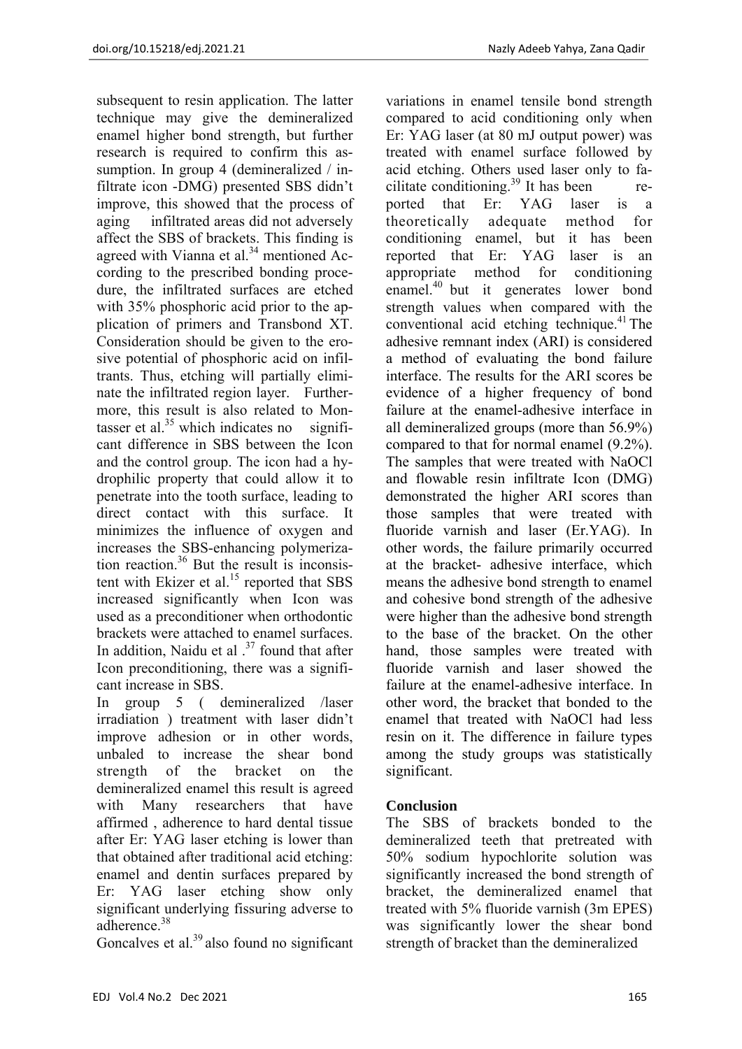subsequent to resin application. The latter technique may give the demineralized enamel higher bond strength, but further research is required to confirm this assumption. In group 4 (demineralized / infiltrate icon -DMG) presented SBS didn't improve, this showed that the process of aging infiltrated areas did not adversely affect the SBS of brackets. This finding is agreed with Vianna et al. $34$  mentioned According to the prescribed bonding procedure, the infiltrated surfaces are etched with 35% phosphoric acid prior to the application of primers and Transbond XT. Consideration should be given to the erosive potential of phosphoric acid on infiltrants. Thus, etching will partially eliminate the infiltrated region layer. Furthermore, this result is also related to Montasser et al. $35$  which indicates no significant difference in SBS between the Icon and the control group. The icon had a hydrophilic property that could allow it to penetrate into the tooth surface, leading to direct contact with this surface. It minimizes the influence of oxygen and increases the SBS-enhancing polymerization reaction.36 But the result is inconsistent with Ekizer et al. $15$  reported that SBS increased significantly when Icon was used as a preconditioner when orthodontic brackets were attached to enamel surfaces. In addition, Naidu et al  $^{37}$  found that after Icon preconditioning, there was a significant increase in SBS.

In group 5 ( demineralized /laser irradiation ) treatment with laser didn't improve adhesion or in other words, unbaled to increase the shear bond strength of the bracket on the demineralized enamel this result is agreed with Many researchers that have affirmed , adherence to hard dental tissue after Er: YAG laser etching is lower than that obtained after traditional acid etching: enamel and dentin surfaces prepared by Er: YAG laser etching show only significant underlying fissuring adverse to adherence<sup>38</sup>

Goncalves et al.<sup>39</sup> also found no significant

variations in enamel tensile bond strength compared to acid conditioning only when Er: YAG laser (at 80 mJ output power) was treated with enamel surface followed by acid etching. Others used laser only to facilitate conditioning.<sup>39</sup> It has been reported that Er: YAG laser is a theoretically adequate method for conditioning enamel, but it has been reported that Er: YAG laser is an appropriate method for conditioning enamel.40 but it generates lower bond strength values when compared with the conventional acid etching technique.<sup>41</sup> The adhesive remnant index (ARI) is considered a method of evaluating the bond failure interface. The results for the ARI scores be evidence of a higher frequency of bond failure at the enamel-adhesive interface in all demineralized groups (more than 56.9%) compared to that for normal enamel (9.2%). The samples that were treated with NaOCl and flowable resin infiltrate Icon (DMG) demonstrated the higher ARI scores than those samples that were treated with fluoride varnish and laser (Er.YAG). In other words, the failure primarily occurred at the bracket- adhesive interface, which means the adhesive bond strength to enamel and cohesive bond strength of the adhesive were higher than the adhesive bond strength to the base of the bracket. On the other hand, those samples were treated with fluoride varnish and laser showed the failure at the enamel-adhesive interface. In other word, the bracket that bonded to the enamel that treated with NaOCl had less resin on it. The difference in failure types among the study groups was statistically significant.

# **Conclusion**

The SBS of brackets bonded to the demineralized teeth that pretreated with 50% sodium hypochlorite solution was significantly increased the bond strength of bracket, the demineralized enamel that treated with 5% fluoride varnish (3m EPES) was significantly lower the shear bond strength of bracket than the demineralized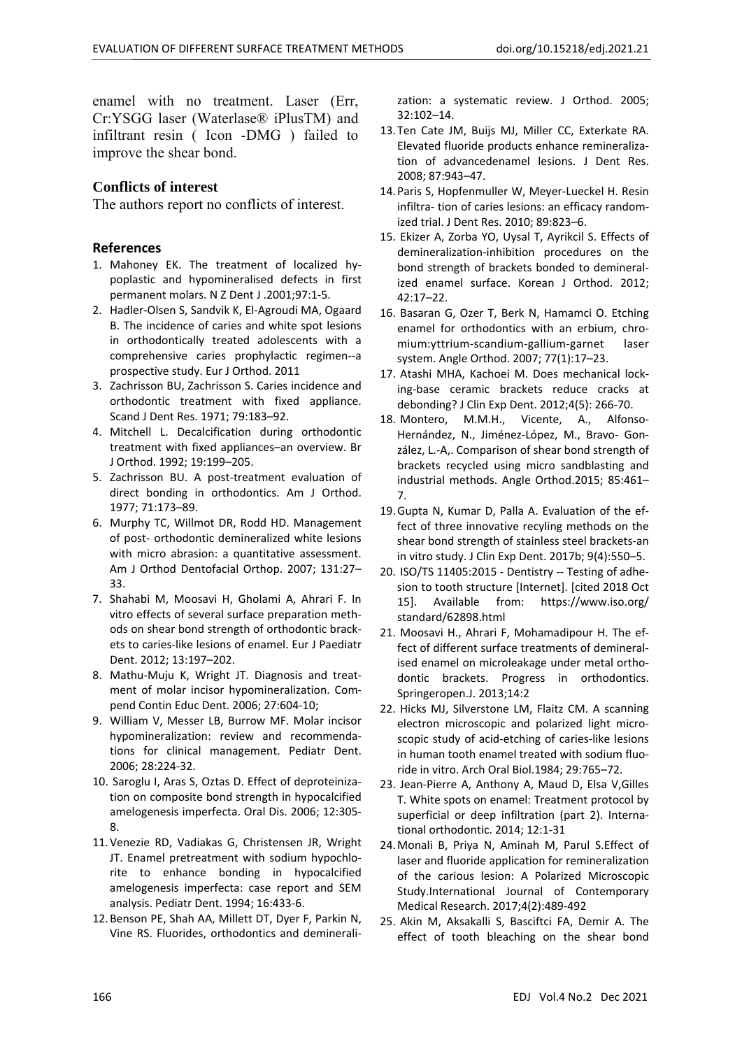enamel with no treatment. Laser (Err, Cr:YSGG laser (Waterlase® iPlusTM) and infiltrant resin ( Icon -DMG ) failed to improve the shear bond.

## **Conflicts of interest**

The authors report no conflicts of interest.

## **References**

- 1. Mahoney EK. The treatment of localized hy‐ poplastic and hypomineralised defects in first permanent molars. N Z Dent J .2001;97:1‐5.
- 2. Hadler‐Olsen S, Sandvik K, El‐Agroudi MA, Ogaard B. The incidence of caries and white spot lesions in orthodontically treated adolescents with a comprehensive caries prophylactic regimen‐‐a prospective study. Eur J Orthod. 2011
- 3. Zachrisson BU, Zachrisson S. Caries incidence and orthodontic treatment with fixed appliance. Scand J Dent Res. 1971; 79:183–92.
- 4. Mitchell L. Decalcification during orthodontic treatment with fixed appliances–an overview. Br J Orthod. 1992; 19:199–205.
- 5. Zachrisson BU. A post-treatment evaluation of direct bonding in orthodontics. Am J Orthod. 1977; 71:173–89.
- 6. Murphy TC, Willmot DR, Rodd HD. Management of post‐ orthodontic demineralized white lesions with micro abrasion: a quantitative assessment. Am J Orthod Dentofacial Orthop. 2007; 131:27– 33.
- 7. Shahabi M, Moosavi H, Gholami A, Ahrari F. In vitro effects of several surface preparation meth‐ ods on shear bond strength of orthodontic brack‐ ets to caries‐like lesions of enamel. Eur J Paediatr Dent. 2012; 13:197–202.
- 8. Mathu‐Muju K, Wright JT. Diagnosis and treat‐ ment of molar incisor hypomineralization. Compend Contin Educ Dent. 2006; 27:604‐10;
- 9. William V, Messer LB, Burrow MF. Molar incisor hypomineralization: review and recommenda‐ tions for clinical management. Pediatr Dent. 2006; 28:224‐32.
- 10. Saroglu I, Aras S, Oztas D. Effect of deproteiniza‐ tion on composite bond strength in hypocalcified amelogenesis imperfecta. Oral Dis. 2006; 12:305‐ 8.
- 11.Venezie RD, Vadiakas G, Christensen JR, Wright JT. Enamel pretreatment with sodium hypochlorite to enhance bonding in hypocalcified amelogenesis imperfecta: case report and SEM analysis. Pediatr Dent. 1994; 16:433‐6.
- 12.Benson PE, Shah AA, Millett DT, Dyer F, Parkin N, Vine RS. Fluorides, orthodontics and deminerali‐

zation: a systematic review. J Orthod. 2005; 32:102–14.

- 13.Ten Cate JM, Buijs MJ, Miller CC, Exterkate RA. Elevated fluoride products enhance remineraliza‐ tion of advancedenamel lesions. J Dent Res. 2008; 87:943–47.
- 14.Paris S, Hopfenmuller W, Meyer‐Lueckel H. Resin infiltra‐ tion of caries lesions: an efficacy random‐ ized trial. J Dent Res. 2010; 89:823–6.
- 15. Ekizer A, Zorba YO, Uysal T, Ayrikcil S. Effects of demineralization‐inhibition procedures on the bond strength of brackets bonded to demineral‐ ized enamel surface. Korean J Orthod. 2012; 42:17–22.
- 16. Basaran G, Ozer T, Berk N, Hamamci O. Etching enamel for orthodontics with an erbium, chro‐ mium:yttrium‐scandium‐gallium‐garnet laser system. Angle Orthod. 2007; 77(1):17–23.
- 17. Atashi MHA, Kachoei M. Does mechanical lock‐ ing‐base ceramic brackets reduce cracks at debonding? J Clin Exp Dent. 2012;4(5): 266‐70.
- 18. Montero, M.M.H., Vicente, A., Alfonso-Hernández, N., Jiménez‐López, M., Bravo‐ Gon‐ zález, L.‐A,. Comparison of shear bond strength of brackets recycled using micro sandblasting and industrial methods. Angle Orthod.2015; 85:461– 7.
- 19.Gupta N, Kumar D, Palla A. Evaluation of the ef‐ fect of three innovative recyling methods on the shear bond strength of stainless steel brackets‐an in vitro study. J Clin Exp Dent. 2017b; 9(4):550–5.
- 20. ISO/TS 11405:2015 ‐ Dentistry ‐‐ Testing of adhe‐ sion to tooth structure [Internet]. [cited 2018 Oct 15]. Available from: https://www.iso.org/ standard/62898.html
- 21. Moosavi H., Ahrari F, Mohamadipour H. The ef‐ fect of different surface treatments of demineral‐ ised enamel on microleakage under metal ortho‐ dontic brackets. Progress in orthodontics. Springeropen.J. 2013;14:2
- 22. Hicks MJ, Silverstone LM, Flaitz CM. A scanning electron microscopic and polarized light micro‐ scopic study of acid‐etching of caries‐like lesions in human tooth enamel treated with sodium fluo‐ ride in vitro. Arch Oral Biol.1984; 29:765–72.
- 23. Jean‐Pierre A, Anthony A, Maud D, Elsa V,Gilles T. White spots on enamel: Treatment protocol by superficial or deep infiltration (part 2). Interna‐ tional orthodontic. 2014; 12:1‐31
- 24.Monali B, Priya N, Aminah M, Parul S.Effect of laser and fluoride application for remineralization of the carious lesion: A Polarized Microscopic Study.International Journal of Contemporary Medical Research. 2017;4(2):489‐492
- 25. Akin M, Aksakalli S, Basciftci FA, Demir A. The effect of tooth bleaching on the shear bond